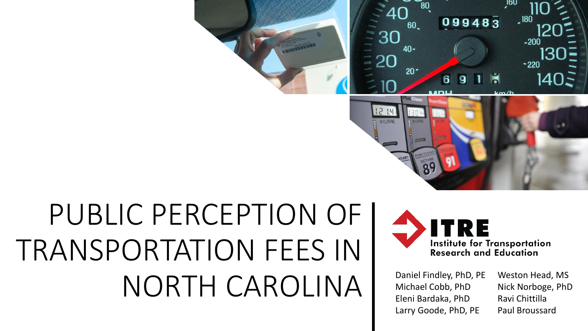

# PUBLIC PERCEPTION OF I TRANSPORTATION FEES IN NORTH CAROLINA Daniel Findley, PhD, PE



Michael Cobb, PhD Eleni Bardaka, PhD Larry Goode, PhD, PE Weston Head, MS Nick Norboge, PhD Ravi Chittilla Paul Broussard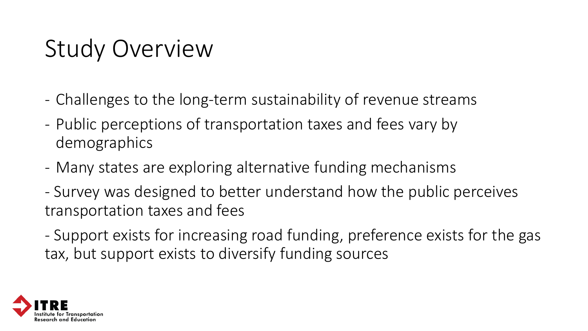## Study Overview

- Challenges to the long-term sustainability of revenue streams
- Public perceptions of transportation taxes and fees vary by demographics
- Many states are exploring alternative funding mechanisms
- Survey was designed to better understand how the public perceives transportation taxes and fees
- Support exists for increasing road funding, preference exists for the gas tax, but support exists to diversify funding sources

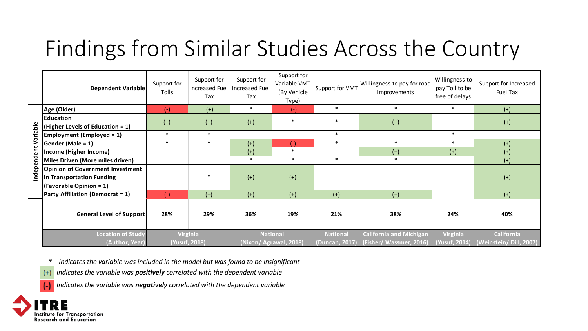## Findings from Similar Studies Across the Country

|                      | <b>Dependent Variable</b>                                                                       | Support for<br>Tolls                    | Support for<br>Increased Fuel<br>Tax | Support for<br>Increased Fuel<br>Tax      | Support for<br>Variable VMT<br>(By Vehicle<br>Type) | Support for VMT | Willingness to pay for road<br>improvements                              | Willingness to<br>pay Toll to be<br>free of delays | Support for Increased<br>Fuel Tax                   |
|----------------------|-------------------------------------------------------------------------------------------------|-----------------------------------------|--------------------------------------|-------------------------------------------|-----------------------------------------------------|-----------------|--------------------------------------------------------------------------|----------------------------------------------------|-----------------------------------------------------|
| Independent Variable | Age (Older)                                                                                     | $(-)$                                   | $(+)$                                | $\ast$                                    | $(-)$                                               | $\ast$          | $\ast$                                                                   | $\ast$                                             | $(+)$                                               |
|                      | <b>Education</b><br>(Higher Levels of Education = 1)                                            | $(+)$                                   | $(+)$                                | $(+)$                                     | $\ast$                                              | $\ast$          | $(+)$                                                                    |                                                    | $(+)$                                               |
|                      | <b>Employment (Employed = 1)</b>                                                                | $\ast$                                  | $\ast$                               |                                           |                                                     | $\ast$          |                                                                          | $\ast$                                             |                                                     |
|                      | Gender (Male = $1$ )                                                                            | $\ast$                                  | $\ast$                               | $(+)$                                     | $(-)$                                               | $\ast$          | $\ast$                                                                   | $\ast$                                             | $(+)$                                               |
|                      | Income (Higher Income)                                                                          |                                         |                                      | $(+)$                                     | $\ast$                                              |                 | $(+)$                                                                    | $(+)$                                              | $(+)$                                               |
|                      | Miles Driven (More miles driven)                                                                |                                         |                                      | $\ast$                                    | $\ast$                                              | $\ast$          | $\ast$                                                                   |                                                    | $(+)$                                               |
|                      | <b>Opinion of Government Investment</b><br>in Transportation Funding<br>(Favorable Opinion = 1) |                                         |                                      | $(+)$                                     | $(+)$                                               |                 |                                                                          |                                                    | $(+)$                                               |
|                      | <b>Party Affiliation (Democrat = 1)</b>                                                         | $(-)$                                   | $(+)$                                | $(+)$                                     | $(+)$                                               | $(+)$           | $(+)$                                                                    |                                                    | $(+)$                                               |
|                      | <b>General Level of Support</b>                                                                 | 28%                                     | 29%                                  | 36%                                       | 19%                                                 | 21%             | 38%                                                                      | 24%                                                | 40%                                                 |
|                      | <b>Location of Study</b><br>(Author, Year)                                                      | <b>Virginia</b><br><b>(Yusuf, 2018)</b> |                                      | <b>National</b><br>(Nixon/ Agrawal, 2018) |                                                     | <b>National</b> | <b>California and Michigan</b><br>(Duncan, 2017) (Fisher/ Wassmer, 2016) | Virginia                                           | California<br>(Yusuf, 2014) (Weinstein/ Dill, 2007) |

*\* Indicates the variable was included in the model but was found to be insignificant*

*Indicates the variable was positively correlated with the dependent variable*  $(+)$ 

*Indicates the variable was negatively correlated with the dependent variable*

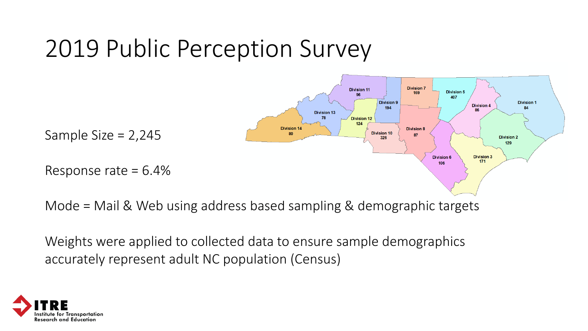## 2019 Public Perception Survey



Mode = Mail & Web using address based sampling & demographic targets

Weights were applied to collected data to ensure sample demographics accurately represent adult NC population (Census)

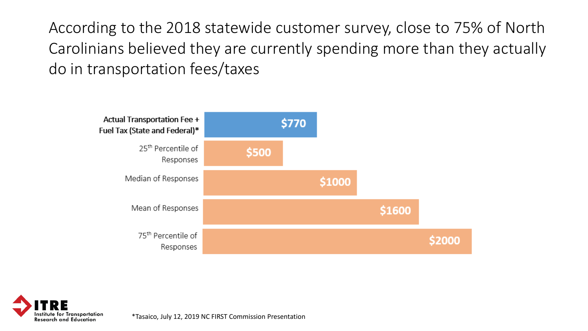According to the 2018 statewide customer survey, close to 75% of North Carolinians believed they are currently spending more than they actually do in transportation fees/taxes





\*Tasaico, July 12, 2019 NC FIRST Commission Presentation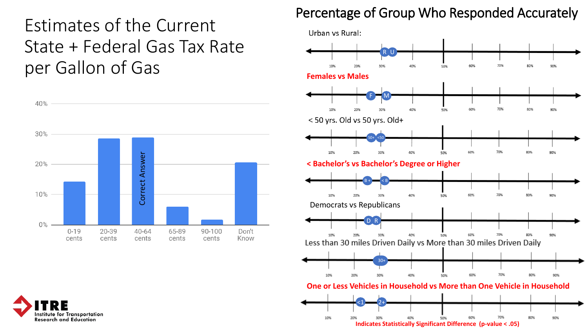### Estimates of the Current State + Federal Gas Tax Rate per Gallon of Gas



#### Percentage of Group Who Responded Accurately



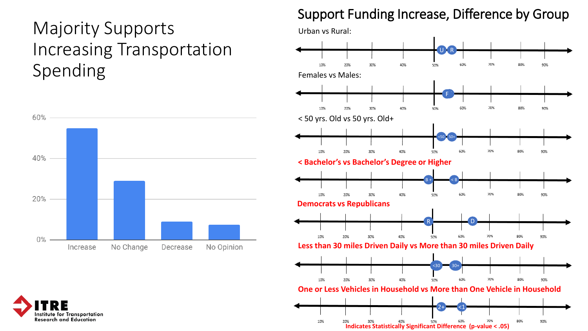## Majority Supports Increasing Transportation Spending Females vs Males:



#### Support Funding Increase, Difference by Group



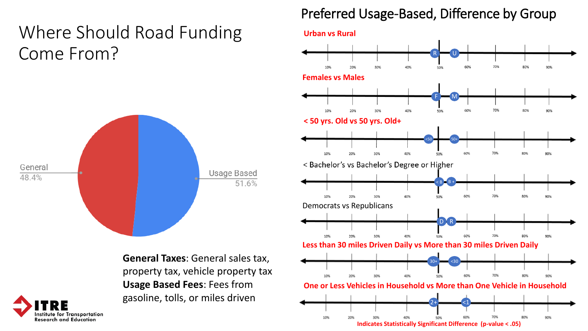## Where Should Road Funding Come From?



**General Taxes**: General sales tax, property tax, vehicle property tax **Usage Based Fees**: Fees from gasoline, tolls, or miles driven

#### Preferred Usage-Based, Difference by Group

**Urban vs Rural**



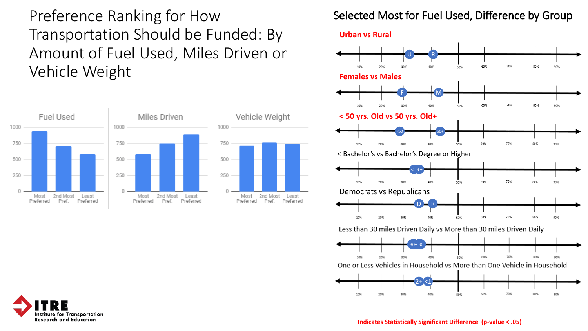Preference Ranking for How Transportation Should be Funded: By Amount of Fuel Used, Miles Driven or Vehicle Weight



#### Selected Most for Fuel Used, Difference by Group

**Urban vs Rural**





**Indicates Statistically Significant Difference (p-value < .05)**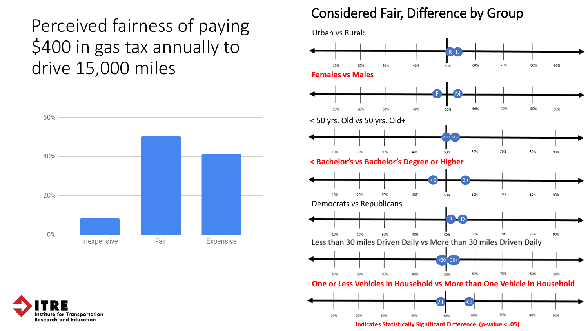Perceived fairness of paying \$400 in gas tax annually to drive 15,000 miles



Institute for Transportation

**Research and Education** 

#### Considered Fair, Difference by Group

Urban vs Rural:

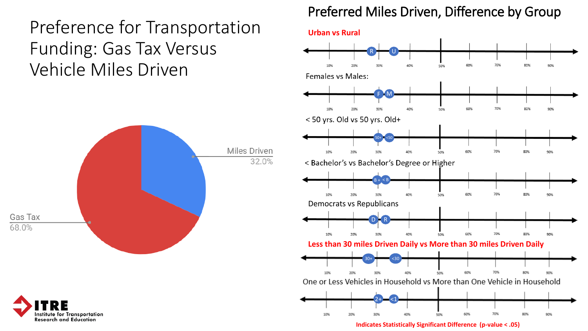### Preference for Transportation Funding: Gas Tax Versus Vehicle Miles Driven





**Indicates Statistically Significant Difference (p-value < .05)**



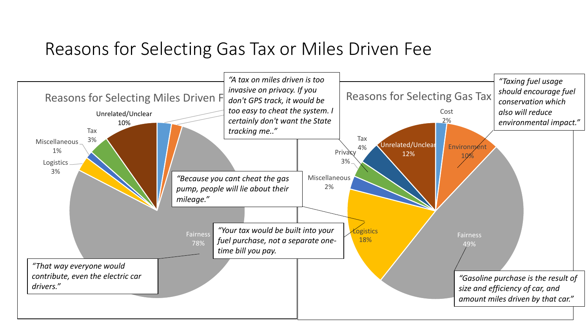### Reasons for Selecting Gas Tax or Miles Driven Fee

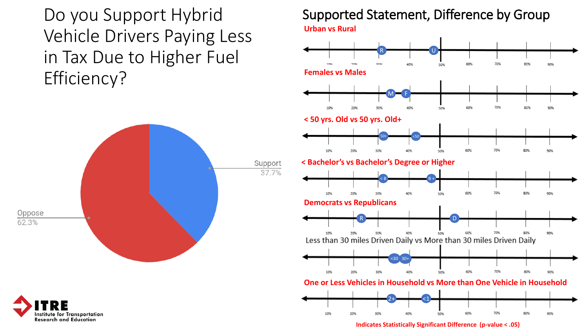Do you Support Hybrid Vehicle Drivers Paying Less in Tax Due to Higher Fuel Efficiency?





#### Supported Statement, Difference by Group **Urban vs Rural**



**Indicates Statistically Significant Difference (p-value < .05)**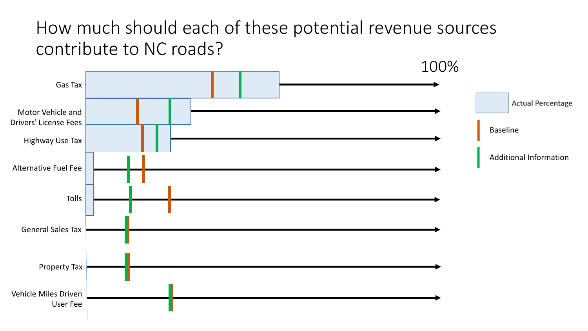### How much should each of these potential revenue sources contribute to NC roads?